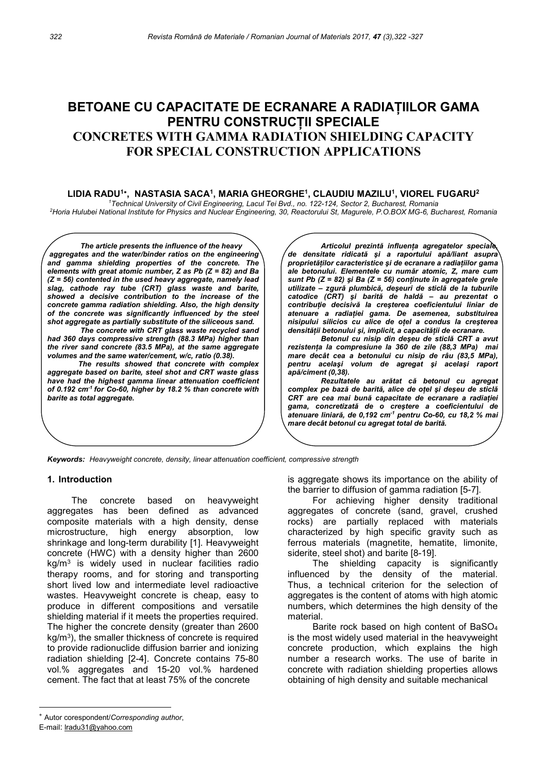# BETOANE CU CAPACITATE DE ECRANARE A RADIAȚIILOR GAMA PENTRU CONSTRUCȚII SPECIALE CONCRETES WITH GAMMA RADIATION SHIELDING CAPACITY FOR SPECIAL CONSTRUCTION APPLICATIONS

LIDIA RADU<sup>1</sup>\*, NASTASIA SACA<sup>1</sup>, MARIA GHEORGHE<sup>1</sup>, CLAUDIU MAZILU<sup>1</sup>, VIOREL FUGARU<sup>2</sup>

<sup>1</sup>Technical University of Civil Engineering, Lacul Tei Bvd., no. 122-124, Sector 2, Bucharest, Romania <sup>2</sup>Horia Hulubei National Institute for Physics and Nuclear Engineering, 30, Reactorului St, Magurele, P.O.BOX MG-6, Bucharest, Romania

The article presents the influence of the heavy aggregates and the water/binder ratios on the engineering and gamma shielding properties of the concrete. The elements with great atomic number, Z as Pb (Z = 82) and Ba (Z = 56) contented in the used heavy aggregate, namely lead slag, cathode ray tube (CRT) glass waste and barite, showed a decisive contribution to the increase of the concrete gamma radiation shielding. Also, the high density of the concrete was significantly influenced by the steel shot aggregate as partially substitute of the siliceous sand.

The concrete with CRT glass waste recycled sand had 360 days compressive strength (88.3 MPa) higher than the river sand concrete (83.5 MPa), at the same aggregate volumes and the same water/cement, w/c, ratio (0.38).

The results showed that concrete with complex aggregate based on barite, steel shot and CRT waste glass have had the highest gamma linear attenuation coefficient of 0.192 cm<sup>-1</sup> for Co-60, higher by 18.2 % than concrete with barite as total aggregate.

Articolul prezintă influența agregatelor speciale, de densitate ridicată şi a raportului apă/liant asupra proprietăților caracteristice şi de ecranare a radiațiilor gama ale betonului. Elementele cu număr atomic, Z, mare cum sunt Pb  $(Z = 82)$  și Ba  $(Z = 56)$  conținute în agregatele grele utilizate – zgură plumbică, deşeuri de sticlă de la tuburile catodice (CRT) şi barită de haldă – au prezentat o contribuție decisivă la creşterea coeficientului liniar de atenuare a radiației gama. De asemenea, substituirea nisipului silicios cu alice de oțel a condus la creşterea densității betonului și, implicit, a capacității de ecranare.

Betonul cu nisip din deşeu de sticlă CRT a avut rezistența la compresiune la 360 de zile (88,3 MPa) mai mare decât cea a betonului cu nisip de râu (83,5 MPa), pentru acelaşi volum de agregat şi acelaşi raport apă/ciment (0,38).

Rezultatele au arătat că betonul cu agregat complex pe bază de barită, alice de oțel şi deşeu de sticlă CRT are cea mai bună capacitate de ecranare a radiației gama, concretizată de o creştere a coeficientului de atenuare liniară, de 0,192 cm-1 pentru Co-60, cu 18,2 % mai mare decât betonul cu agregat total de barită.

Keywords: Heavyweight concrete, density, linear attenuation coefficient, compressive strength

#### 1. Introduction

The concrete based on heavyweight aggregates has been defined as advanced composite materials with a high density, dense microstructure, high energy absorption, low shrinkage and long-term durability [1]. Heavyweight concrete (HWC) with a density higher than 2600 kg/m<sup>3</sup> is widely used in nuclear facilities radio therapy rooms, and for storing and transporting short lived low and intermediate level radioactive wastes. Heavyweight concrete is cheap, easy to produce in different compositions and versatile shielding material if it meets the properties required. The higher the concrete density (greater than 2600 kg/m<sup>3</sup>), the smaller thickness of concrete is required to provide radionuclide diffusion barrier and ionizing radiation shielding [2-4]. Concrete contains 75-80 vol.% aggregates and 15-20 vol.% hardened cement. The fact that at least 75% of the concrete

For achieving higher density traditional aggregates of concrete (sand, gravel, crushed rocks) are partially replaced with materials characterized by high specific gravity such as ferrous materials (magnetite, hematite, limonite, siderite, steel shot) and barite [8-19].

The shielding capacity is significantly influenced by the density of the material. Thus, a technical criterion for the selection of aggregates is the content of atoms with high atomic numbers, which determines the high density of the material.

Barite rock based on high content of BaSO<sup>4</sup> is the most widely used material in the heavyweight concrete production, which explains the high number a research works. The use of barite in concrete with radiation shielding properties allows obtaining of high density and suitable mechanical

is aggregate shows its importance on the ability of the barrier to diffusion of gamma radiation [5-7].

Autor corespondent/Corresponding author,

E-mail: lradu31@yahoo.com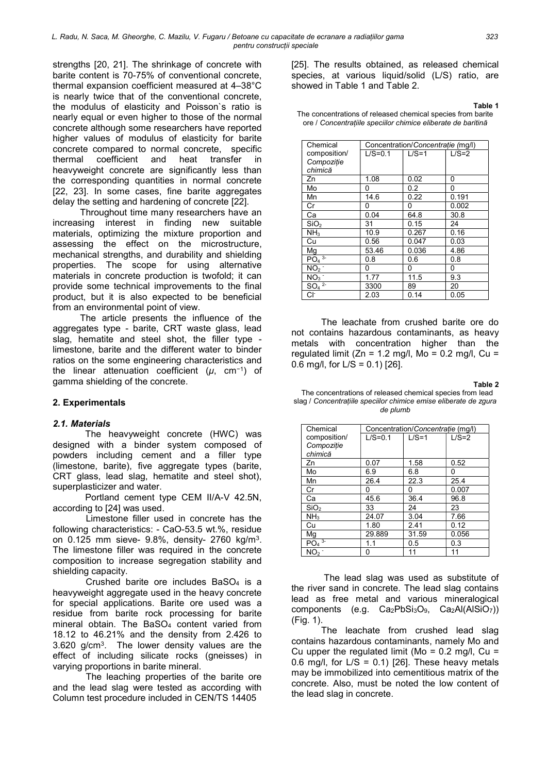strengths [20, 21]. The shrinkage of concrete with barite content is 70-75% of conventional concrete, thermal expansion coefficient measured at 4–38°C is nearly twice that of the conventional concrete, the modulus of elasticity and Poisson`s ratio is nearly equal or even higher to those of the normal concrete although some researchers have reported higher values of modulus of elasticity for barite concrete compared to normal concrete, specific thermal coefficient and heat transfer in heavyweight concrete are significantly less than the corresponding quantities in normal concrete [22, 23]. In some cases, fine barite aggregates delay the setting and hardening of concrete [22].

Throughout time many researchers have an increasing interest in finding new suitable materials, optimizing the mixture proportion and assessing the effect on the microstructure, mechanical strengths, and durability and shielding properties. The scope for using alternative materials in concrete production is twofold; it can provide some technical improvements to the final product, but it is also expected to be beneficial from an environmental point of view.

The article presents the influence of the aggregates type - barite, CRT waste glass, lead slag, hematite and steel shot, the filler type limestone, barite and the different water to binder ratios on the some engineering characteristics and the linear attenuation coefficient  $(\mu, \text{ cm}^{-1})$  of gamma shielding of the concrete.

#### 2. Experimentals

### 2.1. Materials

The heavyweight concrete (HWC) was designed with a binder system composed of powders including cement and a filler type (limestone, barite), five aggregate types (barite, CRT glass, lead slag, hematite and steel shot), superplasticizer and water.

 Portland cement type CEM II/A-V 42.5N, according to [24] was used.

 Limestone filler used in concrete has the following characteristics: - CaO-53.5 wt.%, residue on 0.125 mm sieve- 9.8%, density- 2760 kg/m<sup>3</sup> . The limestone filler was required in the concrete composition to increase segregation stability and shielding capacity.

 Crushed barite ore includes BaSO4 is a heavyweight aggregate used in the heavy concrete for special applications. Barite ore used was a residue from barite rock processing for barite mineral obtain. The BaSO4 content varied from 18.12 to 46.21% and the density from 2.426 to 3.620 g/cm<sup>3</sup> . The lower density values are the effect of including silicate rocks (gneisses) in varying proportions in barite mineral.

The leaching properties of the barite ore and the lead slag were tested as according with Column test procedure included in CEN/TS 14405

[25]. The results obtained, as released chemical species, at various liquid/solid (L/S) ratio, are showed in Table 1 and Table 2.

Table 1

| The concentrations of released chemical species from barite  |
|--------------------------------------------------------------|
| ore / Concentrațiile speciilor chimice eliberate de baritină |

| Chemical                   | Concentration/Concentratie (mg/l) |         |         |  |  |
|----------------------------|-----------------------------------|---------|---------|--|--|
| composition/               | $L/S=0.1$                         | $L/S=1$ | $L/S=2$ |  |  |
| Compoziție                 |                                   |         |         |  |  |
| chimică                    |                                   |         |         |  |  |
| Zn                         | 1.08                              | 0.02    | 0       |  |  |
| Mo                         | 0                                 | 0.2     | 0       |  |  |
| Mn                         | 14.6                              | 0.22    | 0.191   |  |  |
| Cr                         | 0                                 | 0       | 0.002   |  |  |
| Ca                         | 0.04                              | 64.8    | 30.8    |  |  |
| SiO <sub>2</sub>           | 31                                | 0.15    | 24      |  |  |
| NH <sub>3</sub>            | 10.9                              | 0.267   | 0.16    |  |  |
| Cu                         | 0.56                              | 0.047   | 0.03    |  |  |
| Mg                         | 53.46                             | 0.036   | 4.86    |  |  |
| $PO4$ <sup>3-</sup>        | 0.8                               | 0.6     | 0.8     |  |  |
| NO <sub>2</sub>            | 0                                 | 0       | 0       |  |  |
| $\overline{\text{NO}_3}$ . | 1.77                              | 11.5    | 9.3     |  |  |
| $SO4$ <sup>2-</sup>        | 3300                              | 89      | 20      |  |  |
| Сŀ                         | 2.03                              | 0.14    | 0.05    |  |  |

The leachate from crushed barite ore do not contains hazardous contaminants, as heavy metals with concentration higher than the regulated limit ( $Zn = 1.2$  mg/l,  $Mo = 0.2$  mg/l,  $Cu =$ 0.6 mg/l, for  $L/S = 0.1$  [26].

Table 2

 The concentrations of released chemical species from lead slag / Concentrațiile speciilor chimice emise eliberate de zgura de plumb

| Chemical            | Concentration/Concentratie (mg/l) |         |         |  |  |
|---------------------|-----------------------------------|---------|---------|--|--|
| composition/        | $L/S=0.1$                         | $L/S=1$ | $L/S=2$ |  |  |
| Compozitie          |                                   |         |         |  |  |
| chimică             |                                   |         |         |  |  |
| Zn                  | 0.07                              | 1.58    | 0.52    |  |  |
| Mo                  | 6.9                               | 6.8     | 0       |  |  |
| Mn                  | 26.4                              | 22.3    | 25.4    |  |  |
| Cr                  | 0                                 | 0       | 0.007   |  |  |
| Сa                  | 45.6                              | 36.4    | 96.8    |  |  |
| SiO <sub>2</sub>    | 33                                | 24      | 23      |  |  |
| NH <sub>3</sub>     | 24.07                             | 3.04    | 7.66    |  |  |
| Cu                  | 1.80                              | 2.41    | 0.12    |  |  |
| Mg                  | 29.889                            | 31.59   | 0.056   |  |  |
| $PO4$ <sup>3-</sup> | 1.1                               | 0.5     | 0.3     |  |  |
| NO <sub>2</sub>     | 0                                 | 11      | 11      |  |  |

The lead slag was used as substitute of the river sand in concrete. The lead slag contains lead as free metal and various mineralogical components (e.g. Ca2PbSi3O9, Ca2Al(AlSiO7)) (Fig. 1).

The leachate from crushed lead slag contains hazardous contaminants, namely Mo and Cu upper the regulated limit ( $Mo = 0.2$  mg/l,  $Cu =$ 0.6 mg/l, for  $L/S = 0.1$ ) [26]. These heavy metals may be immobilized into cementitious matrix of the concrete. Also, must be noted the low content of the lead slag in concrete.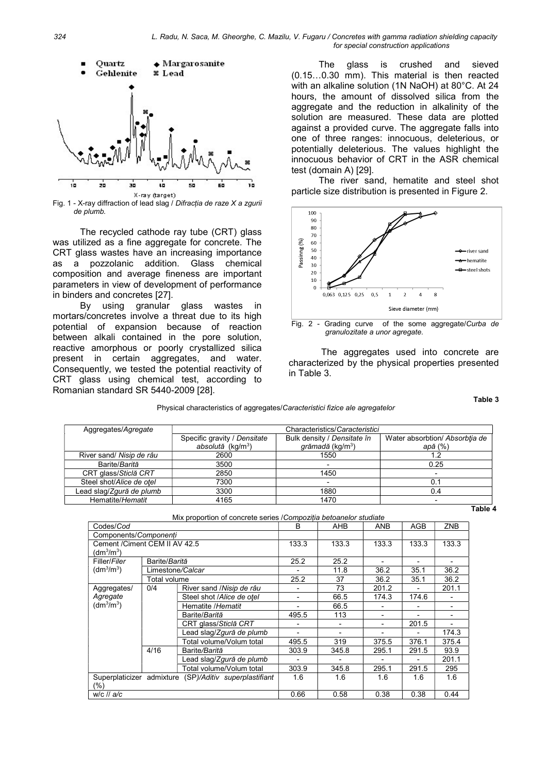

Fig. 1 - X-ray diffraction of lead slag / Difracția de raze X a zgurii de plumb.

The recycled cathode ray tube (CRT) glass was utilized as a fine aggregate for concrete. The CRT glass wastes have an increasing importance as a pozzolanic addition. Glass chemical composition and average fineness are important parameters in view of development of performance in binders and concretes [27].

By using granular glass wastes in mortars/concretes involve a threat due to its high potential of expansion because of reaction between alkali contained in the pore solution, reactive amorphous or poorly crystallized silica present in certain aggregates, and water. Consequently, we tested the potential reactivity of CRT glass using chemical test, according to Romanian standard SR 5440-2009 [28].

The glass is crushed and sieved (0.15…0.30 mm). This material is then reacted with an alkaline solution (1N NaOH) at 80°C. At 24 hours, the amount of dissolved silica from the aggregate and the reduction in alkalinity of the solution are measured. These data are plotted against a provided curve. The aggregate falls into one of three ranges: innocuous, deleterious, or potentially deleterious. The values highlight the innocuous behavior of CRT in the ASR chemical test (domain A) [29].

The river sand, hematite and steel shot particle size distribution is presented in Figure 2.



Fig. 2 - Grading curve of the some aggregate/Curba de granulozitate a unor agregate.

The aggregates used into concrete are characterized by the physical properties presented in Table 3.

Table 3

#### Physical characteristics of aggregates/Caracteristici fizice ale agregatelor

| Aggregates/Agregate      | Characteristics/Caracteristici                                  |                                                    |                                           |  |
|--------------------------|-----------------------------------------------------------------|----------------------------------------------------|-------------------------------------------|--|
|                          | Specific gravity / Densitate<br>$absolută$ (kg/m <sup>3</sup> ) | Bulk density / Densitate în<br>grămadă ( $kg/m3$ ) | Water absorbtion/ Absorbtia de<br>apă (%) |  |
| River sand/ Nisip de râu | 2600                                                            | 1550                                               | 1.2                                       |  |
| Barite/Barită            | 3500                                                            |                                                    | 0.25                                      |  |
| CRT glass/Sticlă CRT     | 2850                                                            | 1450                                               |                                           |  |
| Steel shot/Alice de otel | 7300                                                            |                                                    | 0.1                                       |  |
| Lead slag/Zgură de plumb | 3300                                                            | 1880                                               | 0.4                                       |  |
| Hematite/Hematit         | 4165                                                            | 1470                                               |                                           |  |
|                          |                                                                 |                                                    | Table 4                                   |  |

|  |  | Tal |
|--|--|-----|
|  |  |     |

| Mix proportion of concrete series / Compoziția betoanelor studiate           |               |                                  |                          |            |            |            |                |
|------------------------------------------------------------------------------|---------------|----------------------------------|--------------------------|------------|------------|------------|----------------|
| Codes/Cod                                                                    |               |                                  | B                        | <b>AHB</b> | <b>ANB</b> | <b>AGB</b> | ZNB            |
| Components/Componenti                                                        |               |                                  |                          |            |            |            |                |
| Cement / Ciment CEM II AV 42.5                                               |               |                                  | 133.3                    | 133.3      | 133.3      | 133.3      | 133.3          |
| (dm <sup>3</sup> /m <sup>3</sup> )                                           |               |                                  |                          |            |            |            |                |
| Filler/Filer                                                                 | Barite/Barită |                                  | 25.2                     | 25.2       |            |            |                |
| (dm <sup>3</sup> /m <sup>3</sup> )                                           |               | Limestone <i>/Calcar</i>         |                          | 11.8       | 36.2       | 35.1       | 36.2           |
|                                                                              | Total volume  |                                  | 25.2                     | 37         | 36.2       | 35.1       | 36.2           |
| 0/4<br>Aggregates/<br>Agregate<br>(dm <sup>3</sup> /m <sup>3</sup> )<br>4/16 |               | River sand / Nisip de râu        |                          | 73         | 201.2      |            | 201.1          |
|                                                                              |               | Steel shot /Alice de otel        | ٠                        | 66.5       | 174.3      | 174.6      | $\overline{a}$ |
|                                                                              |               | Hematite /Hematit                |                          | 66.5       |            |            |                |
|                                                                              |               | Barite/Barită                    | 495.5                    | 113        |            |            |                |
|                                                                              |               | CRT glass/Sticlă CRT             |                          |            |            | 201.5      |                |
|                                                                              |               | Lead slag/ <i>Zgură de plumb</i> | $\overline{\phantom{0}}$ |            |            |            | 174.3          |
|                                                                              |               | Total volume/Volum total         | 495.5                    | 319        | 375.5      | 376.1      | 375.4          |
|                                                                              |               | Barite/Barită                    | 303.9                    | 345.8      | 295.1      | 291.5      | 93.9           |
|                                                                              |               | Lead slag/Zgură de plumb         |                          |            |            |            | 201.1          |
|                                                                              |               | Total volume/Volum total         | 303.9                    | 345.8      | 295.1      | 291.5      | 295            |
| Superplaticizer admixture<br>(SP)/Aditiv superplastifiant                    |               | 1.6                              | 1.6                      | 1.6        | 1.6        | 1.6        |                |
| (%)                                                                          |               |                                  |                          |            |            |            |                |
| $W/C$ // $a/c$                                                               |               |                                  | 0.66                     | 0.58       | 0.38       | 0.38       | 0.44           |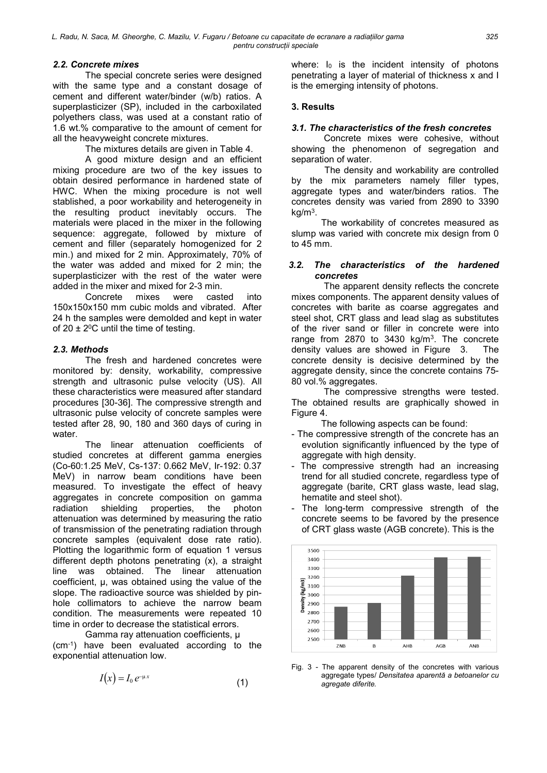# 2.2. Concrete mixes

The special concrete series were designed with the same type and a constant dosage of cement and different water/binder (w/b) ratios. A superplasticizer (SP), included in the carboxilated polyethers class, was used at a constant ratio of 1.6 wt.% comparative to the amount of cement for all the heavyweight concrete mixtures.

The mixtures details are given in Table 4.

A good mixture design and an efficient mixing procedure are two of the key issues to obtain desired performance in hardened state of HWC. When the mixing procedure is not well stablished, a poor workability and heterogeneity in the resulting product inevitably occurs. The materials were placed in the mixer in the following sequence: aggregate, followed by mixture of cement and filler (separately homogenized for 2 min.) and mixed for 2 min. Approximately, 70% of the water was added and mixed for 2 min; the superplasticizer with the rest of the water were added in the mixer and mixed for 2-3 min.

Concrete mixes were casted into 150x150x150 mm cubic molds and vibrated. After 24 h the samples were demolded and kept in water of 20  $\pm$  2<sup>0</sup>C until the time of testing.

## 2.3. Methods

The fresh and hardened concretes were monitored by: density, workability, compressive strength and ultrasonic pulse velocity (US). All these characteristics were measured after standard procedures [30-36]. The compressive strength and ultrasonic pulse velocity of concrete samples were tested after 28, 90, 180 and 360 days of curing in water.

The linear attenuation coefficients of studied concretes at different gamma energies (Co-60:1.25 MeV, Cs-137: 0.662 MeV, Ir-192: 0.37 MeV) in narrow beam conditions have been measured. To investigate the effect of heavy aggregates in concrete composition on gamma radiation shielding properties, the photon attenuation was determined by measuring the ratio of transmission of the penetrating radiation through concrete samples (equivalent dose rate ratio). Plotting the logarithmic form of equation 1 versus different depth photons penetrating (x), a straight line was obtained. The linear attenuation coefficient, µ, was obtained using the value of the slope. The radioactive source was shielded by pinhole collimators to achieve the narrow beam condition. The measurements were repeated 10 time in order to decrease the statistical errors.

Gamma ray attenuation coefficients, µ (cm-1) have been evaluated according to the exponential attenuation low.

$$
I(x) = I_0 e^{-\mu x} \tag{1}
$$

where: I<sub>0</sub> is the incident intensity of photons penetrating a layer of material of thickness x and I is the emerging intensity of photons.

### 3. Results

### 3.1. The characteristics of the fresh concretes

Concrete mixes were cohesive, without showing the phenomenon of segregation and separation of water.

The density and workability are controlled by the mix parameters namely filler types, aggregate types and water/binders ratios. The concretes density was varied from 2890 to 3390 kg/m<sup>3</sup> .

The workability of concretes measured as slump was varied with concrete mix design from 0 to 45 mm.

## 3.2. The characteristics of the hardened concretes

The apparent density reflects the concrete mixes components. The apparent density values of concretes with barite as coarse aggregates and steel shot, CRT glass and lead slag as substitutes of the river sand or filler in concrete were into range from  $2870$  to  $3430 \text{ kg/m}^3$ . The concrete density values are showed in Figure 3. The concrete density is decisive determined by the aggregate density, since the concrete contains 75-80 vol.% aggregates.

The compressive strengths were tested. The obtained results are graphically showed in Figure 4.

The following aspects can be found:

- The compressive strength of the concrete has an evolution significantly influenced by the type of aggregate with high density.
- The compressive strength had an increasing trend for all studied concrete, regardless type of aggregate (barite, CRT glass waste, lead slag, hematite and steel shot).
- The long-term compressive strength of the concrete seems to be favored by the presence of CRT glass waste (AGB concrete). This is the



Fig. 3 - The apparent density of the concretes with various aggregate types/ Densitatea aparentă a betoanelor cu agregate diferite.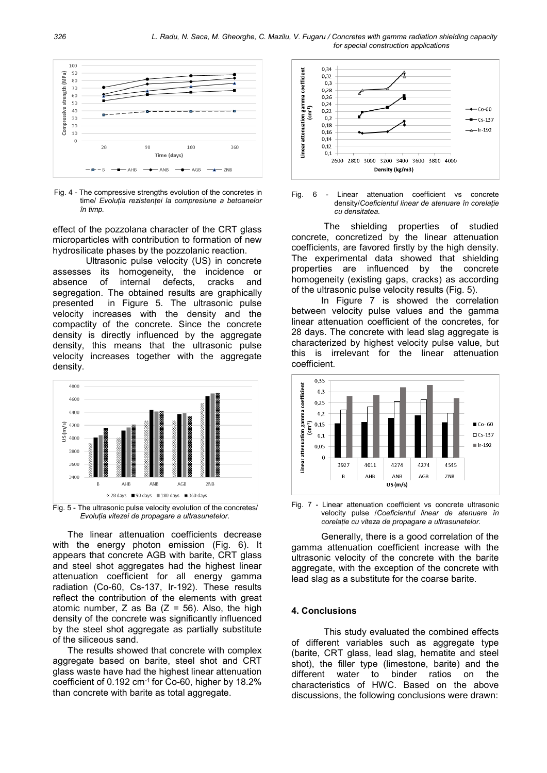

Fig. 4 - The compressive strengths evolution of the concretes in time/ Evoluția rezistenței la compresiune a betoanelor în timp.

effect of the pozzolana character of the CRT glass microparticles with contribution to formation of new hydrosilicate phases by the pozzolanic reaction.

Ultrasonic pulse velocity (US) in concrete assesses its homogeneity, the incidence or absence of internal defects, cracks and segregation. The obtained results are graphically presented in Figure 5. The ultrasonic pulse velocity increases with the density and the compactity of the concrete. Since the concrete density is directly influenced by the aggregate density, this means that the ultrasonic pulse velocity increases together with the aggregate density.





The linear attenuation coefficients decrease with the energy photon emission (Fig. 6). It appears that concrete AGB with barite, CRT glass and steel shot aggregates had the highest linear attenuation coefficient for all energy gamma radiation (Co-60, Cs-137, Ir-192). These results reflect the contribution of the elements with great atomic number, Z as Ba  $(Z = 56)$ . Also, the high density of the concrete was significantly influenced by the steel shot aggregate as partially substitute of the siliceous sand.

The results showed that concrete with complex aggregate based on barite, steel shot and CRT glass waste have had the highest linear attenuation coefficient of 0.192 cm-1 for Co-60, higher by 18.2% than concrete with barite as total aggregate.



Fig. 6 - Linear attenuation coefficient vs concrete density/Coeficientul linear de atenuare în corelație cu densitatea.

The shielding properties of studied concrete, concretized by the linear attenuation coefficients, are favored firstly by the high density. The experimental data showed that shielding properties are influenced by the concrete homogeneity (existing gaps, cracks) as according of the ultrasonic pulse velocity results (Fig. 5).

In Figure 7 is showed the correlation between velocity pulse values and the gamma linear attenuation coefficient of the concretes, for 28 days. The concrete with lead slag aggregate is characterized by highest velocity pulse value, but this is irrelevant for the linear attenuation coefficient.



Fig. 7 - Linear attenuation coefficient vs concrete ultrasonic velocity pulse /Coeficientul linear de atenuare în corelație cu viteza de propagare a ultrasunetelor.

Generally, there is a good correlation of the gamma attenuation coefficient increase with the ultrasonic velocity of the concrete with the barite aggregate, with the exception of the concrete with lead slag as a substitute for the coarse barite.

#### 4. Conclusions

This study evaluated the combined effects of different variables such as aggregate type (barite, CRT glass, lead slag, hematite and steel shot), the filler type (limestone, barite) and the different water to binder ratios on the characteristics of HWC. Based on the above discussions, the following conclusions were drawn: